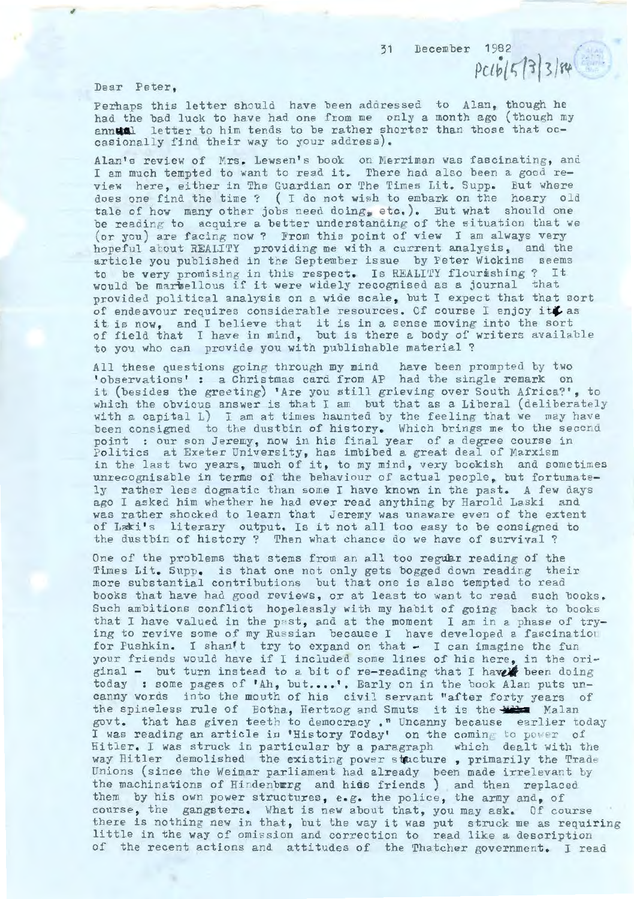31 December 1982

Pclb{ *t;* r~l 3/rit

Dear Peter,

,

Perhaps this letter should have been addressed to Alan, though he had the bad luck to have had one from me only a month ago (though my had the bad luck to have had one from me only a month ago (though m<br>annual letter to him tends to be rather shorter than those that occasionally find their way to your address) .

Alan's review of Mrs. Lewsen's book on Merriman was fascinating, and I am much tempted to want to read it. There had also been a good review here, either in The Guardian or The Times Lit. Supp. But where does one find the time? ( I do not wish to embark on the hoary old tale of how many other jobs need doing, etc.). But what should one be reading to acquire a better understanding of the situation that we (or you) are facing now? From this point of view I am always very hopeful about REALITY providing me with a current analysis, and the article you published in the September issue by Peter Wickins seems to be very promising in this respect. Is REALITY flourishing? It would be marbellous if it were widely recognised as a journal that provided political analysis on a wide scale, but I expect that that sort of endeavour requires considerable resources. Of course I enjoy it  $L$  as of endeavour requires considerable resources. Of course I enjoy fit as<br>it is now, and I believe that it is in a sense moving into the sort of field that I have in mind, but is there a body of writers available to you who can provide you with publishable material?

All these questions going through my mind have been prompted by two observations' : a Christmas card from AP had the single remark on it (besides the greeting) 'Are you still grieving over South Africa?', to which the obvious answer is that I am but that as a Liberal (deliberately with a capital  $L$ ) I am at times haunted by the feeling that we may have been consigned to the dustbin of history. Which brings me to the second point : our son Jeremy, now in his final year of a degree course in Politics at Exeter University, has imbibed a great deal of Marxism in the last two years, much of it, to my mind, very bookish and sometimes unrecognisable in terms of the behaviour of actual people, but fortumately rather less dogmatic than some I have known in the past. A few days ago I asked him whether he had ever read anything by Harold Laski and was rather shocked to learn that Jeremy was unaware even of the extent of Laki's literary output. Is it not all too easy to be consigned to the dustbin of history? Then what chance do we have of survival?

One of the problems that stems from an all too regular reading of the Times Lit. Supp. is that one not only gets bogged down reading their more substantial contributions but that one is also tempted to read books that have had good reviews, or at least to want to read such books. Such ambitions conflict hopelessly with my habit of going back to books that I have valued in the past, and at the moment I am in a phase of try-<br>ing to revive some of my Russian because I have developed a fascination for Pushkin. I shan't try to expand on that - I can imagine the fun your friends would have if I included some lines of his here, in the original - but turn instead to a bit of re-reading that I have been doing today : some pages of 'Ah, but....'. Early on in the book Alan puts uncanny words into the mouth of his civil servant "after forty years of the spineless rule of Botha, Hertzog and Smuts it is the **Wilm** Malan govt. that has given teeth to democracy ." Uncanny because earlier today I was reading an article in 'History Today' on the coming to power of liitler. I was struck in particular by a paragraph which dealt with the way Hitler demolished the existing power stucture, primarily the Trade Unions (since the Weimar parliament had already been made irrelevant by the machinations of Hindenbwrg and hiss friends) and then replaced them by his own power structures, e.g. the police, the army and, of course, the gangsters. What is new about that, you may ask. Of course there is nothing new in that, but the way it was put struck me as requiring little in the way of omission and correction to read like a description of the recent actions and attitudes of the Thatcher government. I read